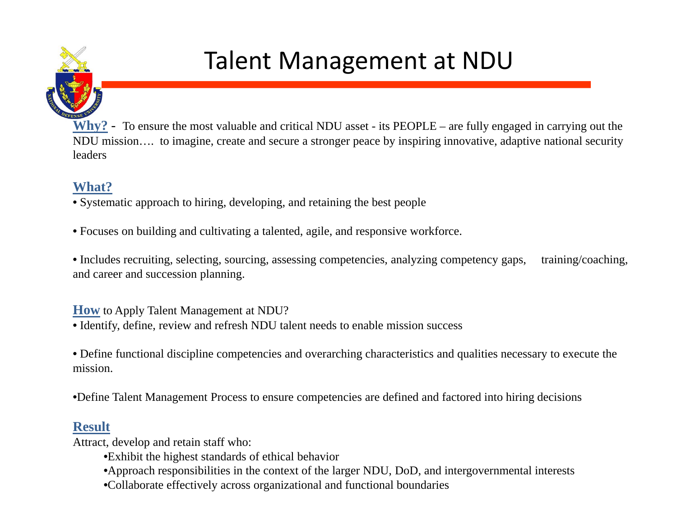

## Talent Management at NDU

**Why?** - To ensure the most valuable and critical NDU asset - its PEOPLE – are fully engaged in carrying out the NDU mission…. to imagine, create and secure a stronger peace by inspiring innovative, adaptive national security leaders

## **What?**

• Systematic approach to hiring, developing, and retaining the best people

• Focuses on building and cultivating a talented, agile, and responsive workforce.

• Includes recruiting, selecting, sourcing, assessing competencies, analyzing competency gaps, training/coaching, and career and succession planning.

**How** to Apply Talent Management at NDU?

• Identify, define, review and refresh NDU talent needs to enable mission success

• Define functional discipline competencies and overarching characteristics and qualities necessary to execute the mission.

•Define Talent Management Process to ensure competencies are defined and factored into hiring decisions

## **Result**

Attract, develop and retain staff who:

- •Exhibit the highest standards of ethical behavior
- •Approach responsibilities in the context of the larger NDU, DoD, and intergovernmental interests
- •Collaborate effectively across organizational and functional boundaries